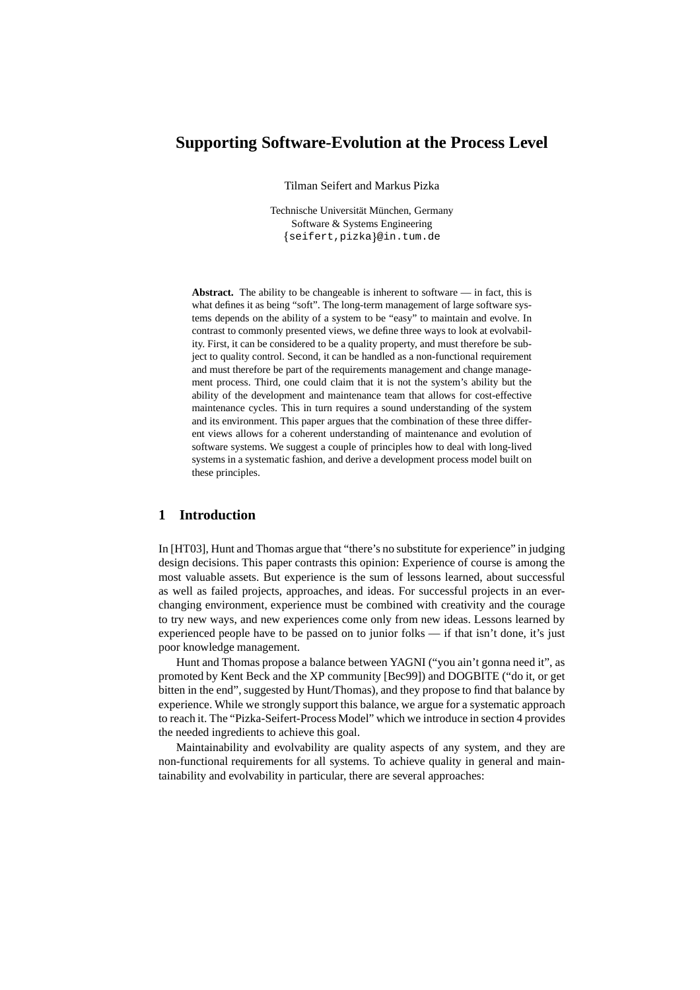# **Supporting Software-Evolution at the Process Level**

Tilman Seifert and Markus Pizka

Technische Universität München, Germany Software & Systems Engineering seifert,pizka @in.tum.de

**Abstract.** The ability to be changeable is inherent to software — in fact, this is what defines it as being "soft". The long-term management of large software systems depends on the ability of a system to be "easy" to maintain and evolve. In contrast to commonly presented views, we define three ways to look at evolvability. First, it can be considered to be a quality property, and must therefore be subject to quality control. Second, it can be handled as a non-functional requirement and must therefore be part of the requirements management and change management process. Third, one could claim that it is not the system's ability but the ability of the development and maintenance team that allows for cost-effective maintenance cycles. This in turn requires a sound understanding of the system and its environment. This paper argues that the combination of these three different views allows for a coherent understanding of maintenance and evolution of software systems. We suggest a couple of principles how to deal with long-lived systems in a systematic fashion, and derive a development process model built on these principles.

## **1 Introduction**

In [HT03], Hunt and Thomas argue that "there's no substitute for experience" in judging design decisions. This paper contrasts this opinion: Experience of course is among the most valuable assets. But experience is the sum of lessons learned, about successful as well as failed projects, approaches, and ideas. For successful projects in an everchanging environment, experience must be combined with creativity and the courage to try new ways, and new experiences come only from new ideas. Lessons learned by experienced people have to be passed on to junior folks — if that isn't done, it's just poor knowledge management.

Hunt and Thomas propose a balance between YAGNI ("you ain't gonna need it", as promoted by Kent Beck and the XP community [Bec99]) and DOGBITE ("do it, or get bitten in the end", suggested by Hunt/Thomas), and they propose to find that balance by experience. While we strongly support this balance, we argue for a systematic approach to reach it. The "Pizka-Seifert-Process Model" which we introduce in section 4 provides the needed ingredients to achieve this goal.

Maintainability and evolvability are quality aspects of any system, and they are non-functional requirements for all systems. To achieve quality in general and maintainability and evolvability in particular, there are several approaches: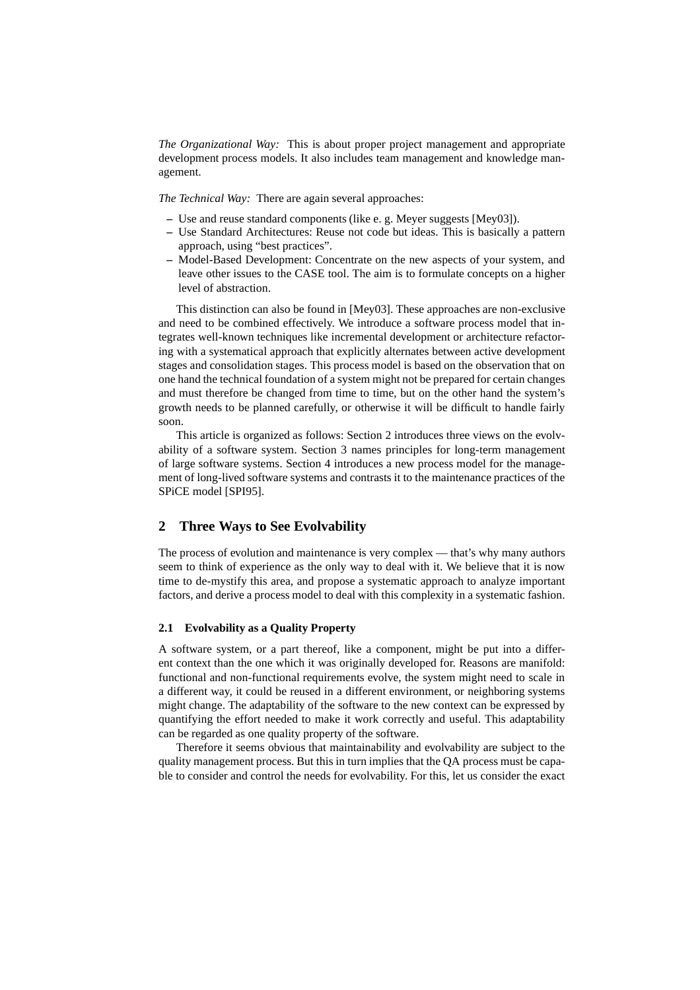*The Organizational Way:* This is about proper project management and appropriate development process models. It also includes team management and knowledge management.

*The Technical Way:* There are again several approaches:

- **–** Use and reuse standard components (like e. g. Meyer suggests [Mey03]).
- **–** Use Standard Architectures: Reuse not code but ideas. This is basically a pattern approach, using "best practices".
- **–** Model-Based Development: Concentrate on the new aspects of your system, and leave other issues to the CASE tool. The aim is to formulate concepts on a higher level of abstraction.

This distinction can also be found in [Mey03]. These approaches are non-exclusive and need to be combined effectively. We introduce a software process model that integrates well-known techniques like incremental development or architecture refactoring with a systematical approach that explicitly alternates between active development stages and consolidation stages. This process model is based on the observation that on one hand the technical foundation of a system might not be prepared for certain changes and must therefore be changed from time to time, but on the other hand the system's growth needs to be planned carefully, or otherwise it will be difficult to handle fairly soon.

This article is organized as follows: Section 2 introduces three views on the evolvability of a software system. Section 3 names principles for long-term management of large software systems. Section 4 introduces a new process model for the management of long-lived software systems and contrasts it to the maintenance practices of the SPiCE model [SPI95].

## **2 Three Ways to See Evolvability**

The process of evolution and maintenance is very complex — that's why many authors seem to think of experience as the only way to deal with it. We believe that it is now time to de-mystify this area, and propose a systematic approach to analyze important factors, and derive a process model to deal with this complexity in a systematic fashion.

### **2.1 Evolvability as a Quality Property**

A software system, or a part thereof, like a component, might be put into a different context than the one which it was originally developed for. Reasons are manifold: functional and non-functional requirements evolve, the system might need to scale in a different way, it could be reused in a different environment, or neighboring systems might change. The adaptability of the software to the new context can be expressed by quantifying the effort needed to make it work correctly and useful. This adaptability can be regarded as one quality property of the software.

Therefore it seems obvious that maintainability and evolvability are subject to the quality management process. But this in turn implies that the QA process must be capable to consider and control the needs for evolvability. For this, let us consider the exact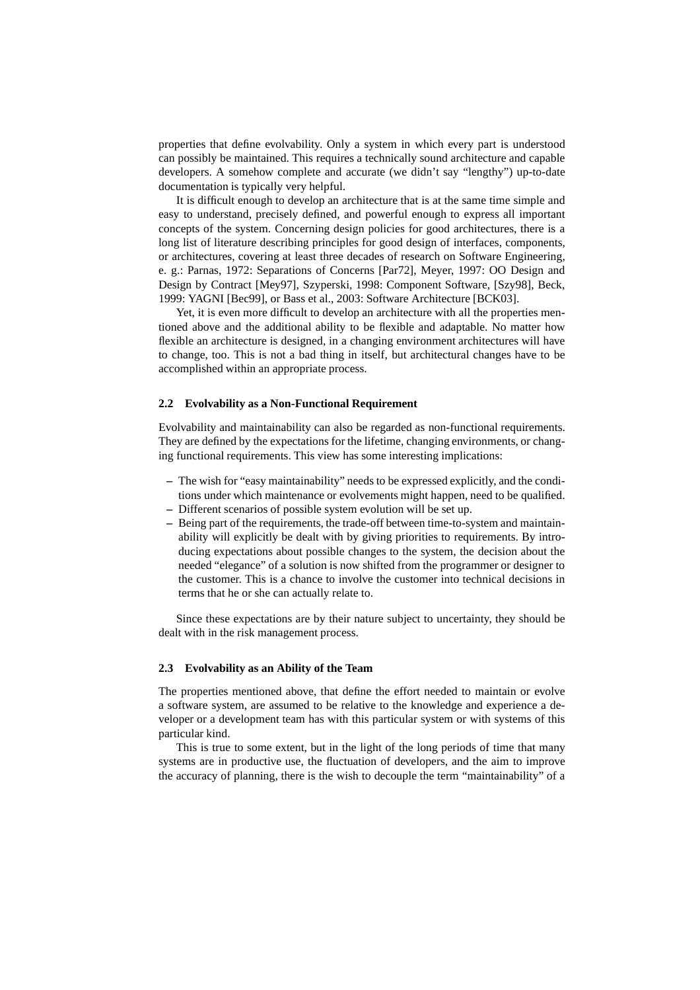properties that define evolvability. Only a system in which every part is understood can possibly be maintained. This requires a technically sound architecture and capable developers. A somehow complete and accurate (we didn't say "lengthy") up-to-date documentation is typically very helpful.

It is difficult enough to develop an architecture that is at the same time simple and easy to understand, precisely defined, and powerful enough to express all important concepts of the system. Concerning design policies for good architectures, there is a long list of literature describing principles for good design of interfaces, components, or architectures, covering at least three decades of research on Software Engineering, e. g.: Parnas, 1972: Separations of Concerns [Par72], Meyer, 1997: OO Design and Design by Contract [Mey97], Szyperski, 1998: Component Software, [Szy98], Beck, 1999: YAGNI [Bec99], or Bass et al., 2003: Software Architecture [BCK03].

Yet, it is even more difficult to develop an architecture with all the properties mentioned above and the additional ability to be flexible and adaptable. No matter how flexible an architecture is designed, in a changing environment architectures will have to change, too. This is not a bad thing in itself, but architectural changes have to be accomplished within an appropriate process.

### **2.2 Evolvability as a Non-Functional Requirement**

Evolvability and maintainability can also be regarded as non-functional requirements. They are defined by the expectations for the lifetime, changing environments, or changing functional requirements. This view has some interesting implications:

- **–** The wish for "easy maintainability" needs to be expressed explicitly, and the conditions under which maintenance or evolvements might happen, need to be qualified.
- **–** Different scenarios of possible system evolution will be set up.
- **–** Being part of the requirements, the trade-off between time-to-system and maintainability will explicitly be dealt with by giving priorities to requirements. By introducing expectations about possible changes to the system, the decision about the needed "elegance" of a solution is now shifted from the programmer or designer to the customer. This is a chance to involve the customer into technical decisions in terms that he or she can actually relate to.

Since these expectations are by their nature subject to uncertainty, they should be dealt with in the risk management process.

#### **2.3 Evolvability as an Ability of the Team**

The properties mentioned above, that define the effort needed to maintain or evolve a software system, are assumed to be relative to the knowledge and experience a developer or a development team has with this particular system or with systems of this particular kind.

This is true to some extent, but in the light of the long periods of time that many systems are in productive use, the fluctuation of developers, and the aim to improve the accuracy of planning, there is the wish to decouple the term "maintainability" of a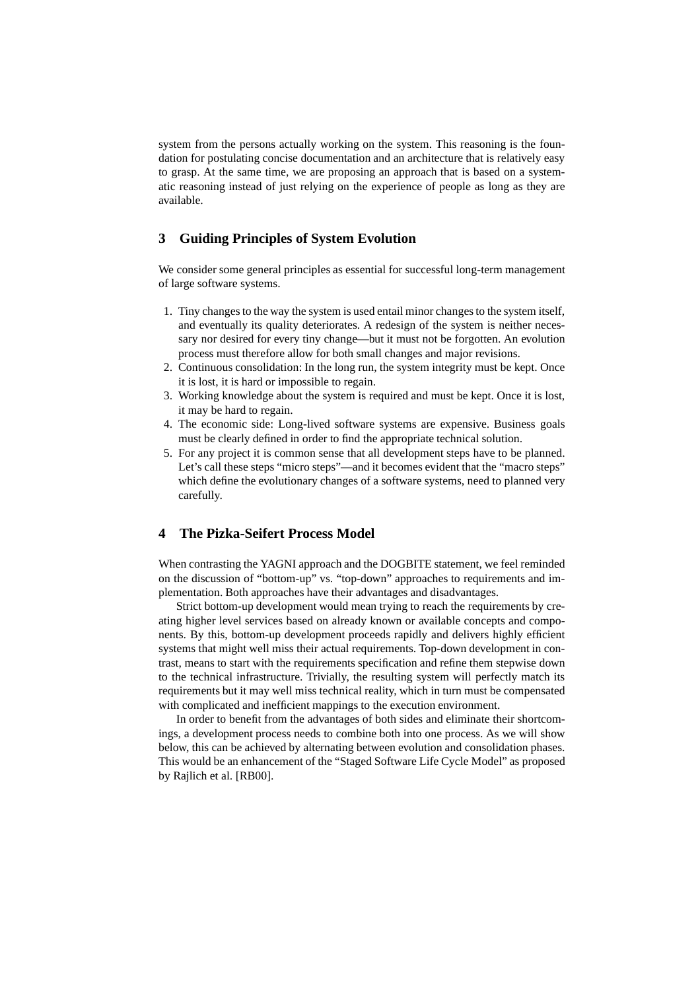system from the persons actually working on the system. This reasoning is the foundation for postulating concise documentation and an architecture that is relatively easy to grasp. At the same time, we are proposing an approach that is based on a systematic reasoning instead of just relying on the experience of people as long as they are available.

# **3 Guiding Principles of System Evolution**

We consider some general principles as essential for successful long-term management of large software systems.

- 1. Tiny changesto the way the system is used entail minor changesto the system itself, and eventually its quality deteriorates. A redesign of the system is neither necessary nor desired for every tiny change—but it must not be forgotten. An evolution process must therefore allow for both small changes and major revisions.
- 2. Continuous consolidation: In the long run, the system integrity must be kept. Once it is lost, it is hard or impossible to regain.
- 3. Working knowledge about the system is required and must be kept. Once it is lost, it may be hard to regain.
- 4. The economic side: Long-lived software systems are expensive. Business goals must be clearly defined in order to find the appropriate technical solution.
- 5. For any project it is common sense that all development steps have to be planned. Let's call these steps "micro steps"—and it becomes evident that the "macro steps" which define the evolutionary changes of a software systems, need to planned very carefully.

# **4 The Pizka-Seifert Process Model**

When contrasting the YAGNI approach and the DOGBITE statement, we feel reminded on the discussion of "bottom-up" vs. "top-down" approaches to requirements and implementation. Both approaches have their advantages and disadvantages.

Strict bottom-up development would mean trying to reach the requirements by creating higher level services based on already known or available concepts and components. By this, bottom-up development proceeds rapidly and delivers highly efficient systems that might well miss their actual requirements. Top-down development in contrast, means to start with the requirements specification and refine them stepwise down to the technical infrastructure. Trivially, the resulting system will perfectly match its requirements but it may well miss technical reality, which in turn must be compensated with complicated and inefficient mappings to the execution environment.

In order to benefit from the advantages of both sides and eliminate their shortcomings, a development process needs to combine both into one process. As we will show below, this can be achieved by alternating between evolution and consolidation phases. This would be an enhancement of the "Staged Software Life Cycle Model" as proposed by Rajlich et al. [RB00].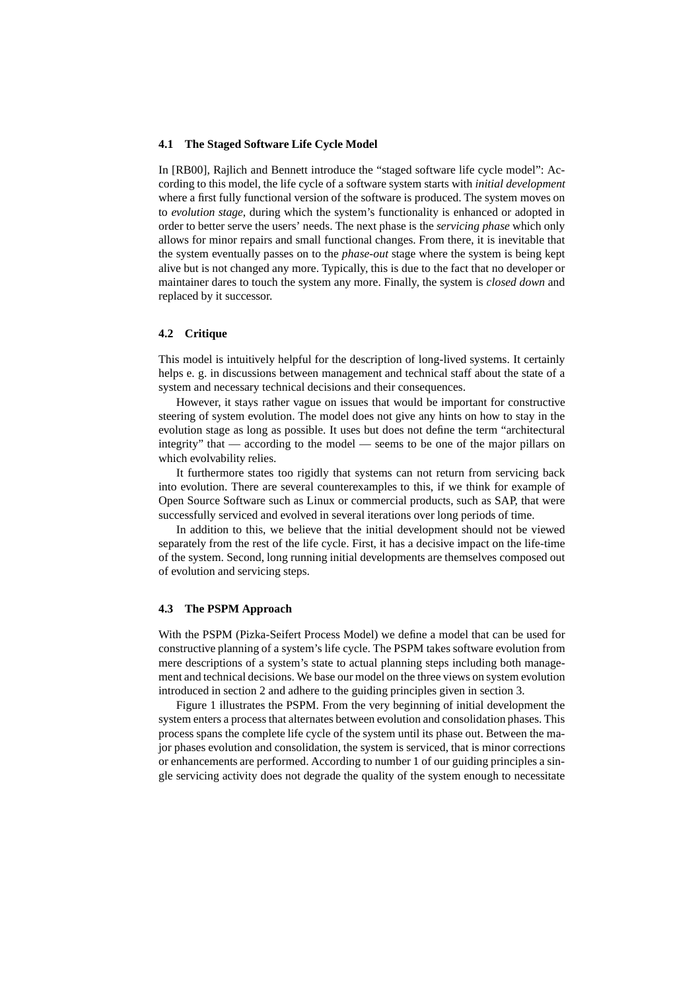#### **4.1 The Staged Software Life Cycle Model**

In [RB00], Rajlich and Bennett introduce the "staged software life cycle model": According to this model, the life cycle of a software system starts with *initial development* where a first fully functional version of the software is produced. The system moves on to *evolution stage*, during which the system's functionality is enhanced or adopted in order to better serve the users' needs. The next phase is the *servicing phase* which only allows for minor repairs and small functional changes. From there, it is inevitable that the system eventually passes on to the *phase-out* stage where the system is being kept alive but is not changed any more. Typically, this is due to the fact that no developer or maintainer dares to touch the system any more. Finally, the system is *closed down* and replaced by it successor.

### **4.2 Critique**

This model is intuitively helpful for the description of long-lived systems. It certainly helps e. g. in discussions between management and technical staff about the state of a system and necessary technical decisions and their consequences.

However, it stays rather vague on issues that would be important for constructive steering of system evolution. The model does not give any hints on how to stay in the evolution stage as long as possible. It uses but does not define the term "architectural integrity" that — according to the model — seems to be one of the major pillars on which evolvability relies.

It furthermore states too rigidly that systems can not return from servicing back into evolution. There are several counterexamples to this, if we think for example of Open Source Software such as Linux or commercial products, such as SAP, that were successfully serviced and evolved in several iterations over long periods of time.

In addition to this, we believe that the initial development should not be viewed separately from the rest of the life cycle. First, it has a decisive impact on the life-time of the system. Second, long running initial developments are themselves composed out of evolution and servicing steps.

#### **4.3 The PSPM Approach**

With the PSPM (Pizka-Seifert Process Model) we define a model that can be used for constructive planning of a system's life cycle. The PSPM takes software evolution from mere descriptions of a system's state to actual planning steps including both management and technical decisions. We base our model on the three views on system evolution introduced in section 2 and adhere to the guiding principles given in section 3.

Figure 1 illustrates the PSPM. From the very beginning of initial development the system enters a process that alternates between evolution and consolidation phases. This process spans the complete life cycle of the system until its phase out. Between the major phases evolution and consolidation, the system is serviced, that is minor corrections or enhancements are performed. According to number 1 of our guiding principles a single servicing activity does not degrade the quality of the system enough to necessitate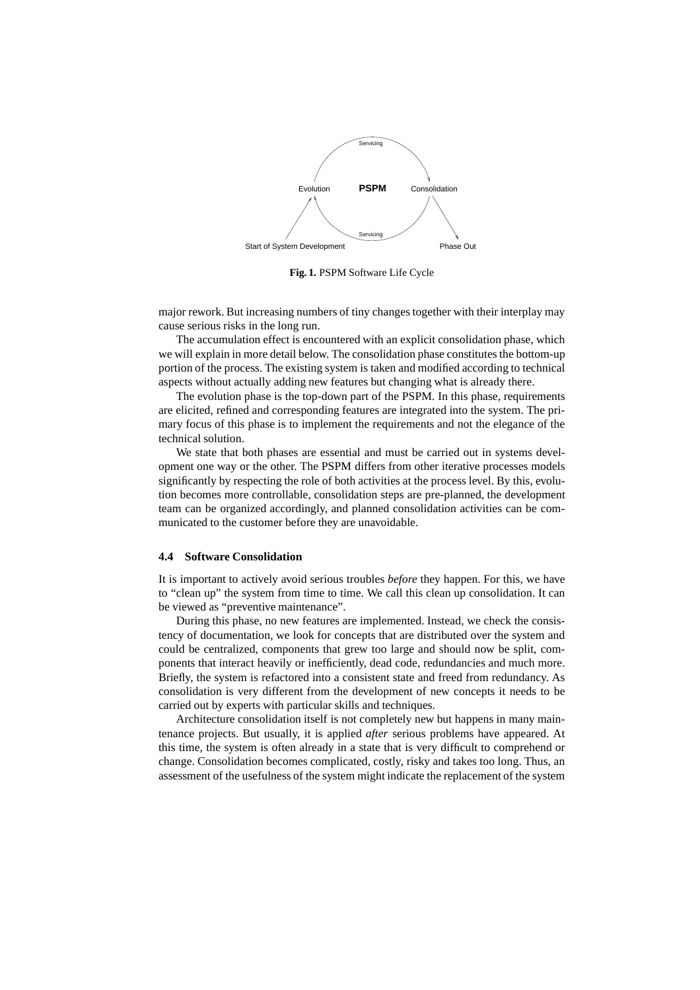

**Fig. 1.** PSPM Software Life Cycle

major rework. But increasing numbers of tiny changes together with their interplay may cause serious risks in the long run.

The accumulation effect is encountered with an explicit consolidation phase, which we will explain in more detail below. The consolidation phase constitutes the bottom-up portion of the process. The existing system is taken and modified according to technical aspects without actually adding new features but changing what is already there.

The evolution phase is the top-down part of the PSPM. In this phase, requirements are elicited, refined and corresponding features are integrated into the system. The primary focus of this phase is to implement the requirements and not the elegance of the technical solution.

We state that both phases are essential and must be carried out in systems development one way or the other. The PSPM differs from other iterative processes models significantly by respecting the role of both activities at the process level. By this, evolution becomes more controllable, consolidation steps are pre-planned, the development team can be organized accordingly, and planned consolidation activities can be communicated to the customer before they are unavoidable.

#### **4.4 Software Consolidation**

It is important to actively avoid serious troubles *before* they happen. For this, we have to "clean up" the system from time to time. We call this clean up consolidation. It can be viewed as "preventive maintenance".

During this phase, no new features are implemented. Instead, we check the consistency of documentation, we look for concepts that are distributed over the system and could be centralized, components that grew too large and should now be split, components that interact heavily or inefficiently, dead code, redundancies and much more. Briefly, the system is refactored into a consistent state and freed from redundancy. As consolidation is very different from the development of new concepts it needs to be carried out by experts with particular skills and techniques.

Architecture consolidation itself is not completely new but happens in many maintenance projects. But usually, it is applied *after* serious problems have appeared. At this time, the system is often already in a state that is very difficult to comprehend or change. Consolidation becomes complicated, costly, risky and takes too long. Thus, an assessment of the usefulness of the system might indicate the replacement of the system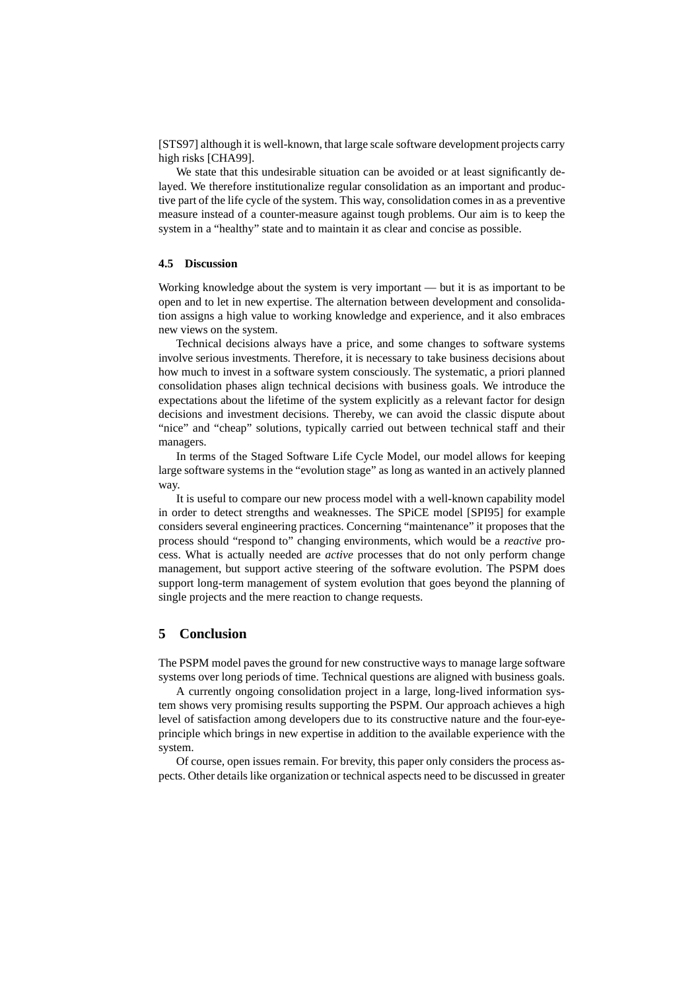[STS97] although it is well-known, that large scale software development projects carry high risks [CHA99].

We state that this undesirable situation can be avoided or at least significantly delayed. We therefore institutionalize regular consolidation as an important and productive part of the life cycle of the system. This way, consolidation comes in as a preventive measure instead of a counter-measure against tough problems. Our aim is to keep the system in a "healthy" state and to maintain it as clear and concise as possible.

## **4.5 Discussion**

Working knowledge about the system is very important — but it is as important to be open and to let in new expertise. The alternation between development and consolidation assigns a high value to working knowledge and experience, and it also embraces new views on the system.

Technical decisions always have a price, and some changes to software systems involve serious investments. Therefore, it is necessary to take business decisions about how much to invest in a software system consciously. The systematic, a priori planned consolidation phases align technical decisions with business goals. We introduce the expectations about the lifetime of the system explicitly as a relevant factor for design decisions and investment decisions. Thereby, we can avoid the classic dispute about "nice" and "cheap" solutions, typically carried out between technical staff and their managers.

In terms of the Staged Software Life Cycle Model, our model allows for keeping large software systems in the "evolution stage" as long as wanted in an actively planned way.

It is useful to compare our new process model with a well-known capability model in order to detect strengths and weaknesses. The SPiCE model [SPI95] for example considers several engineering practices. Concerning "maintenance" it proposes that the process should "respond to" changing environments, which would be a *reactive* process. What is actually needed are *active* processes that do not only perform change management, but support active steering of the software evolution. The PSPM does support long-term management of system evolution that goes beyond the planning of single projects and the mere reaction to change requests.

## **5 Conclusion**

The PSPM model paves the ground for new constructive ways to manage large software systems over long periods of time. Technical questions are aligned with business goals.

A currently ongoing consolidation project in a large, long-lived information system shows very promising results supporting the PSPM. Our approach achieves a high level of satisfaction among developers due to its constructive nature and the four-eyeprinciple which brings in new expertise in addition to the available experience with the system.

Of course, open issues remain. For brevity, this paper only considers the process aspects. Other details like organization or technical aspects need to be discussed in greater